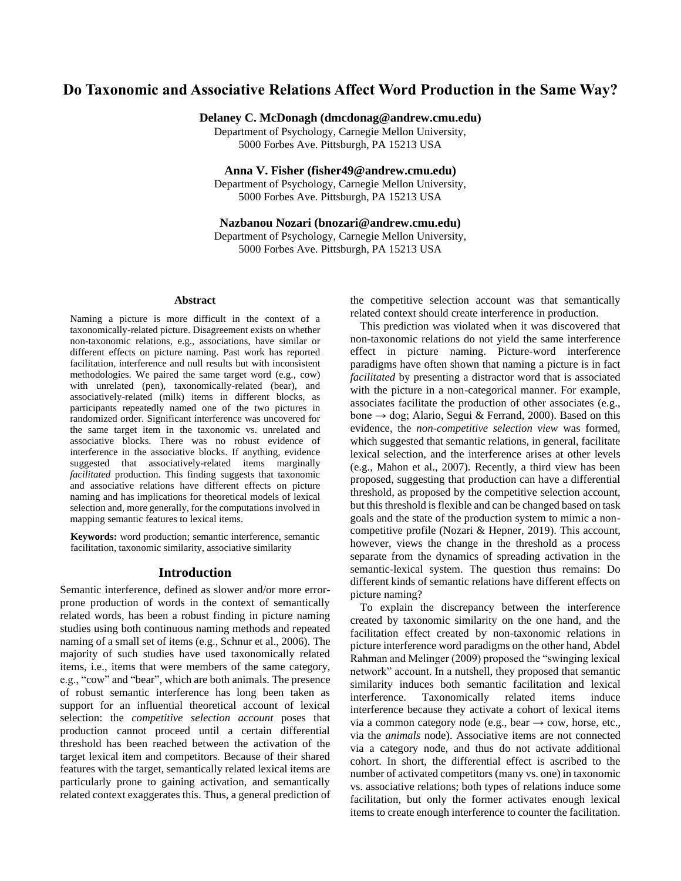# **Do Taxonomic and Associative Relations Affect Word Production in the Same Way?**

**Delaney C. McDonagh (dmcdonag@andrew.cmu.edu)**

Department of Psychology, Carnegie Mellon University, 5000 Forbes Ave. Pittsburgh, PA 15213 USA

**Anna V. Fisher (fisher49@andrew.cmu.edu)**

Department of Psychology, Carnegie Mellon University, 5000 Forbes Ave. Pittsburgh, PA 15213 USA

**Nazbanou Nozari (bnozari@andrew.cmu.edu)**

Department of Psychology, Carnegie Mellon University, 5000 Forbes Ave. Pittsburgh, PA 15213 USA

#### **Abstract**

Naming a picture is more difficult in the context of a taxonomically-related picture. Disagreement exists on whether non-taxonomic relations, e.g., associations, have similar or different effects on picture naming. Past work has reported facilitation, interference and null results but with inconsistent methodologies. We paired the same target word (e.g., cow) with unrelated (pen), taxonomically-related (bear), and associatively-related (milk) items in different blocks, as participants repeatedly named one of the two pictures in randomized order. Significant interference was uncovered for the same target item in the taxonomic vs. unrelated and associative blocks. There was no robust evidence of interference in the associative blocks. If anything, evidence suggested that associatively-related items marginally *facilitated* production. This finding suggests that taxonomic and associative relations have different effects on picture naming and has implications for theoretical models of lexical selection and, more generally, for the computations involved in mapping semantic features to lexical items.

**Keywords:** word production; semantic interference, semantic facilitation, taxonomic similarity, associative similarity

## **Introduction**

Semantic interference, defined as slower and/or more errorprone production of words in the context of semantically related words, has been a robust finding in picture naming studies using both continuous naming methods and repeated naming of a small set of items (e.g., Schnur et al., 2006). The majority of such studies have used taxonomically related items, i.e., items that were members of the same category, e.g., "cow" and "bear", which are both animals. The presence of robust semantic interference has long been taken as support for an influential theoretical account of lexical selection: the *competitive selection account* poses that production cannot proceed until a certain differential threshold has been reached between the activation of the target lexical item and competitors. Because of their shared features with the target, semantically related lexical items are particularly prone to gaining activation, and semantically related context exaggerates this. Thus, a general prediction of the competitive selection account was that semantically related context should create interference in production.

This prediction was violated when it was discovered that non-taxonomic relations do not yield the same interference effect in picture naming. Picture-word interference paradigms have often shown that naming a picture is in fact *facilitated* by presenting a distractor word that is associated with the picture in a non-categorical manner. For example, associates facilitate the production of other associates (e.g., bone → dog; Alario, Segui & Ferrand, 2000). Based on this evidence, the *non-competitive selection view* was formed, which suggested that semantic relations, in general, facilitate lexical selection, and the interference arises at other levels (e.g., Mahon et al., 2007). Recently, a third view has been proposed, suggesting that production can have a differential threshold, as proposed by the competitive selection account, but this threshold is flexible and can be changed based on task goals and the state of the production system to mimic a noncompetitive profile (Nozari & Hepner, 2019). This account, however, views the change in the threshold as a process separate from the dynamics of spreading activation in the semantic-lexical system. The question thus remains: Do different kinds of semantic relations have different effects on picture naming?

To explain the discrepancy between the interference created by taxonomic similarity on the one hand, and the facilitation effect created by non-taxonomic relations in picture interference word paradigms on the other hand, Abdel Rahman and Melinger (2009) proposed the "swinging lexical network" account. In a nutshell, they proposed that semantic similarity induces both semantic facilitation and lexical interference. Taxonomically related items induce interference because they activate a cohort of lexical items via a common category node (e.g., bear  $\rightarrow$  cow, horse, etc., via the *animals* node). Associative items are not connected via a category node, and thus do not activate additional cohort. In short, the differential effect is ascribed to the number of activated competitors (many vs. one) in taxonomic vs. associative relations; both types of relations induce some facilitation, but only the former activates enough lexical items to create enough interference to counter the facilitation.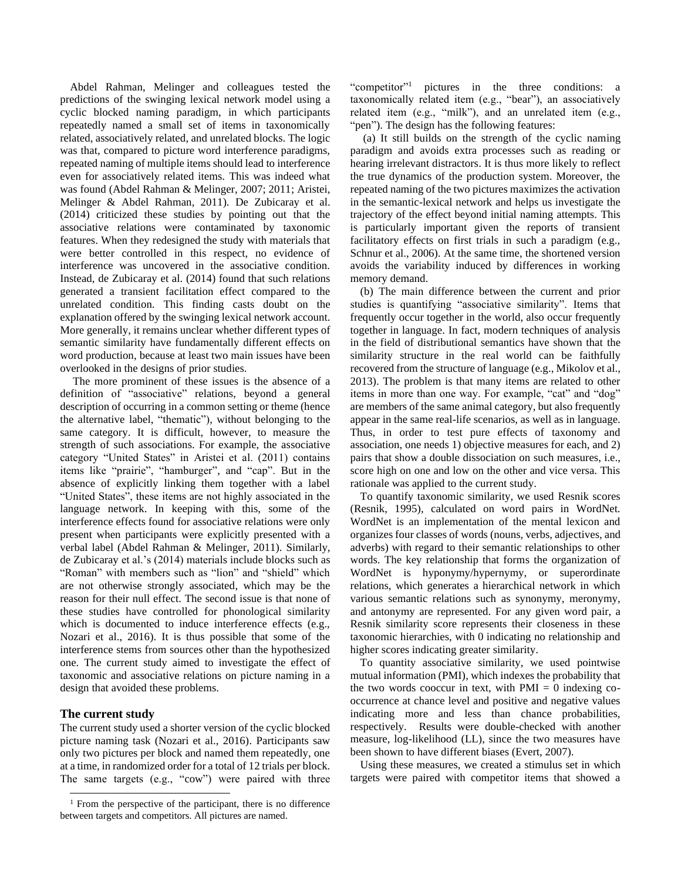Abdel Rahman, Melinger and colleagues tested the predictions of the swinging lexical network model using a cyclic blocked naming paradigm, in which participants repeatedly named a small set of items in taxonomically related, associatively related, and unrelated blocks. The logic was that, compared to picture word interference paradigms, repeated naming of multiple items should lead to interference even for associatively related items. This was indeed what was found (Abdel Rahman & Melinger, 2007; 2011; Aristei, Melinger & Abdel Rahman, 2011). De Zubicaray et al. (2014) criticized these studies by pointing out that the associative relations were contaminated by taxonomic features. When they redesigned the study with materials that were better controlled in this respect, no evidence of interference was uncovered in the associative condition. Instead, de Zubicaray et al. (2014) found that such relations generated a transient facilitation effect compared to the unrelated condition. This finding casts doubt on the explanation offered by the swinging lexical network account. More generally, it remains unclear whether different types of semantic similarity have fundamentally different effects on word production, because at least two main issues have been overlooked in the designs of prior studies.

The more prominent of these issues is the absence of a definition of "associative" relations, beyond a general description of occurring in a common setting or theme (hence the alternative label, "thematic"), without belonging to the same category. It is difficult, however, to measure the strength of such associations. For example, the associative category "United States" in Aristei et al. (2011) contains items like "prairie", "hamburger", and "cap". But in the absence of explicitly linking them together with a label "United States", these items are not highly associated in the language network. In keeping with this, some of the interference effects found for associative relations were only present when participants were explicitly presented with a verbal label (Abdel Rahman & Melinger, 2011). Similarly, de Zubicaray et al.'s (2014) materials include blocks such as "Roman" with members such as "lion" and "shield" which are not otherwise strongly associated, which may be the reason for their null effect. The second issue is that none of these studies have controlled for phonological similarity which is documented to induce interference effects (e.g., Nozari et al., 2016). It is thus possible that some of the interference stems from sources other than the hypothesized one. The current study aimed to investigate the effect of taxonomic and associative relations on picture naming in a design that avoided these problems.

# **The current study**

The current study used a shorter version of the cyclic blocked picture naming task (Nozari et al., 2016). Participants saw only two pictures per block and named them repeatedly, one at a time, in randomized order for a total of 12 trials per block. The same targets (e.g., "cow") were paired with three "competitor"<sup>1</sup> pictures in the three conditions: a taxonomically related item (e.g., "bear"), an associatively related item (e.g., "milk"), and an unrelated item (e.g., "pen"). The design has the following features:

(a) It still builds on the strength of the cyclic naming paradigm and avoids extra processes such as reading or hearing irrelevant distractors. It is thus more likely to reflect the true dynamics of the production system. Moreover, the repeated naming of the two pictures maximizes the activation in the semantic-lexical network and helps us investigate the trajectory of the effect beyond initial naming attempts. This is particularly important given the reports of transient facilitatory effects on first trials in such a paradigm (e.g., Schnur et al., 2006). At the same time, the shortened version avoids the variability induced by differences in working memory demand.

(b) The main difference between the current and prior studies is quantifying "associative similarity". Items that frequently occur together in the world, also occur frequently together in language. In fact, modern techniques of analysis in the field of distributional semantics have shown that the similarity structure in the real world can be faithfully recovered from the structure of language (e.g., Mikolov et al., 2013). The problem is that many items are related to other items in more than one way. For example, "cat" and "dog" are members of the same animal category, but also frequently appear in the same real-life scenarios, as well as in language. Thus, in order to test pure effects of taxonomy and association, one needs 1) objective measures for each, and 2) pairs that show a double dissociation on such measures, i.e., score high on one and low on the other and vice versa. This rationale was applied to the current study.

To quantify taxonomic similarity, we used Resnik scores (Resnik, 1995), calculated on word pairs in WordNet. WordNet is an implementation of the mental lexicon and organizes four classes of words (nouns, verbs, adjectives, and adverbs) with regard to their semantic relationships to other words. The key relationship that forms the organization of WordNet is hyponymy/hypernymy, or superordinate relations, which generates a hierarchical network in which various semantic relations such as synonymy, meronymy, and antonymy are represented. For any given word pair, a Resnik similarity score represents their closeness in these taxonomic hierarchies, with 0 indicating no relationship and higher scores indicating greater similarity.

To quantity associative similarity, we used pointwise mutual information (PMI), which indexes the probability that the two words cooccur in text, with  $PMI = 0$  indexing cooccurrence at chance level and positive and negative values indicating more and less than chance probabilities, respectively. Results were double-checked with another measure, log-likelihood (LL), since the two measures have been shown to have different biases (Evert, 2007).

Using these measures, we created a stimulus set in which targets were paired with competitor items that showed a

 $1$  From the perspective of the participant, there is no difference between targets and competitors. All pictures are named.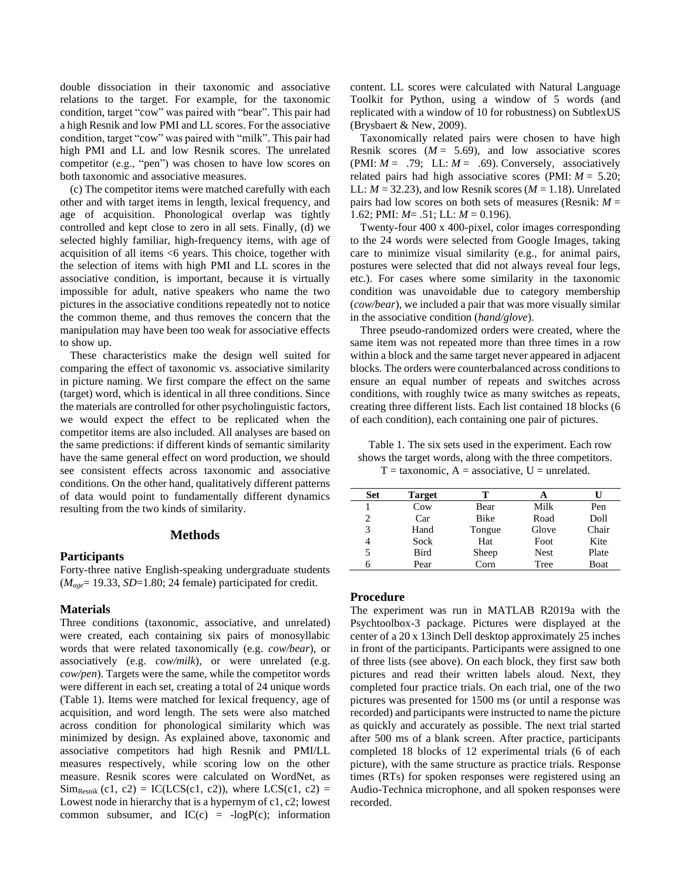double dissociation in their taxonomic and associative relations to the target. For example, for the taxonomic condition, target "cow" was paired with "bear". This pair had a high Resnik and low PMI and LL scores. For the associative condition, target "cow" was paired with "milk". This pair had high PMI and LL and low Resnik scores. The unrelated competitor (e.g., "pen") was chosen to have low scores on both taxonomic and associative measures.

(c) The competitor items were matched carefully with each other and with target items in length, lexical frequency, and age of acquisition. Phonological overlap was tightly controlled and kept close to zero in all sets. Finally, (d) we selected highly familiar, high-frequency items, with age of acquisition of all items <6 years. This choice, together with the selection of items with high PMI and LL scores in the associative condition, is important, because it is virtually impossible for adult, native speakers who name the two pictures in the associative conditions repeatedly not to notice the common theme, and thus removes the concern that the manipulation may have been too weak for associative effects to show up.

These characteristics make the design well suited for comparing the effect of taxonomic vs. associative similarity in picture naming. We first compare the effect on the same (target) word, which is identical in all three conditions. Since the materials are controlled for other psycholinguistic factors, we would expect the effect to be replicated when the competitor items are also included. All analyses are based on the same predictions: if different kinds of semantic similarity have the same general effect on word production, we should see consistent effects across taxonomic and associative conditions. On the other hand, qualitatively different patterns of data would point to fundamentally different dynamics resulting from the two kinds of similarity.

## **Methods**

#### **Participants**

Forty-three native English-speaking undergraduate students (*Mage*= 19.33, *SD*=1.80; 24 female) participated for credit.

## **Materials**

Three conditions (taxonomic, associative, and unrelated) were created, each containing six pairs of monosyllabic words that were related taxonomically (e.g. *cow/bear*), or associatively (e.g. *cow/milk*), or were unrelated (e.g. *cow/pen*). Targets were the same, while the competitor words were different in each set, creating a total of 24 unique words (Table 1). Items were matched for lexical frequency, age of acquisition, and word length. The sets were also matched across condition for phonological similarity which was minimized by design. As explained above, taxonomic and associative competitors had high Resnik and PMI/LL measures respectively, while scoring low on the other measure. Resnik scores were calculated on WordNet, as  $Sim_{Resnik} (c1, c2) = IC(LCS(c1, c2))$ , where  $LCS(c1, c2) =$ Lowest node in hierarchy that is a hypernym of c1, c2; lowest common subsumer, and  $IC(c) = -logP(c)$ ; information

content. LL scores were calculated with Natural Language Toolkit for Python, using a window of 5 words (and replicated with a window of 10 for robustness) on SubtlexUS (Brysbaert & New, 2009).

Taxonomically related pairs were chosen to have high Resnik scores  $(M = 5.69)$ , and low associative scores (PMI:  $M = .79$ ; LL:  $M = .69$ ). Conversely, associatively related pairs had high associative scores (PMI: *M* = 5.20; LL:  $M = 32.23$ ), and low Resnik scores ( $M = 1.18$ ). Unrelated pairs had low scores on both sets of measures (Resnik: *M* = 1.62; PMI: *M*= .51; LL: *M* = 0.196).

Twenty-four 400 x 400-pixel, color images corresponding to the 24 words were selected from Google Images, taking care to minimize visual similarity (e.g., for animal pairs, postures were selected that did not always reveal four legs, etc.). For cases where some similarity in the taxonomic condition was unavoidable due to category membership (*cow/bear*), we included a pair that was more visually similar in the associative condition (*hand/glove*).

Three pseudo-randomized orders were created, where the same item was not repeated more than three times in a row within a block and the same target never appeared in adjacent blocks. The orders were counterbalanced across conditions to ensure an equal number of repeats and switches across conditions, with roughly twice as many switches as repeats, creating three different lists. Each list contained 18 blocks (6 of each condition), each containing one pair of pictures.

Table 1. The six sets used in the experiment. Each row shows the target words, along with the three competitors.

 $T =$  taxonomic,  $A =$  associative,  $U =$  unrelated.

| Set | <b>Target</b>   |             |             |             |
|-----|-----------------|-------------|-------------|-------------|
|     | C <sub>ow</sub> | Bear        | Milk        | Pen         |
| 2   | Car             | <b>Bike</b> | Road        | Doll        |
| 3   | Hand            | Tongue      | Glove       | Chair       |
| 4   | Sock            | Hat         | Foot        | Kite        |
| 5   | <b>Bird</b>     | Sheep       | <b>Nest</b> | Plate       |
| 6   | Pear            | Corn        | Tree        | <b>Boat</b> |

#### **Procedure**

The experiment was run in MATLAB R2019a with the Psychtoolbox-3 package. Pictures were displayed at the center of a 20 x 13inch Dell desktop approximately 25 inches in front of the participants. Participants were assigned to one of three lists (see above). On each block, they first saw both pictures and read their written labels aloud. Next, they completed four practice trials. On each trial, one of the two pictures was presented for 1500 ms (or until a response was recorded) and participants were instructed to name the picture as quickly and accurately as possible. The next trial started after 500 ms of a blank screen. After practice, participants completed 18 blocks of 12 experimental trials (6 of each picture), with the same structure as practice trials. Response times (RTs) for spoken responses were registered using an Audio-Technica microphone, and all spoken responses were recorded.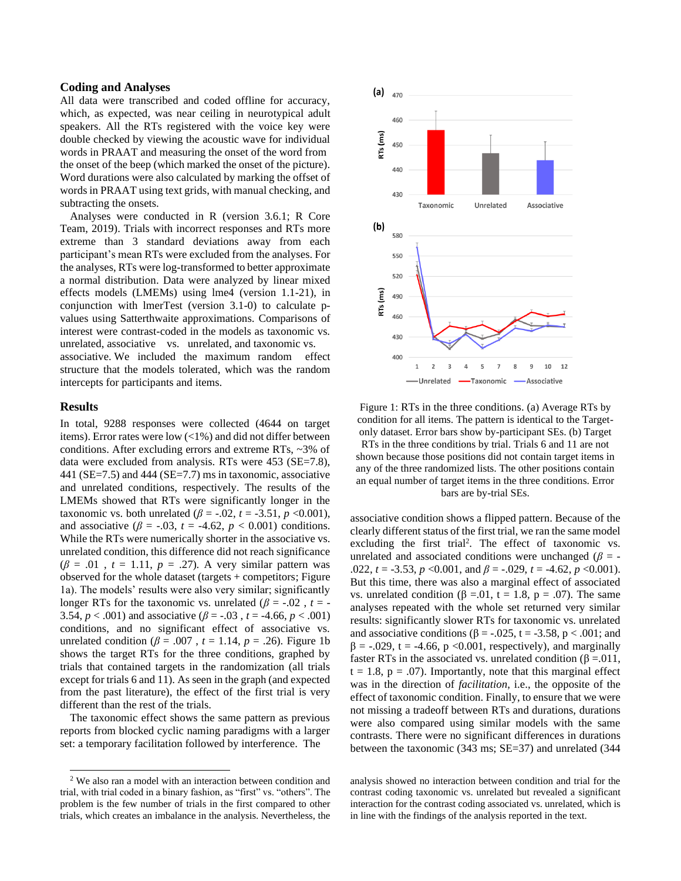#### **Coding and Analyses**

All data were transcribed and coded offline for accuracy, which, as expected, was near ceiling in neurotypical adult speakers. All the RTs registered with the voice key were double checked by viewing the acoustic wave for individual words in PRAAT and measuring the onset of the word from the onset of the beep (which marked the onset of the picture). Word durations were also calculated by marking the offset of words in PRAAT using text grids, with manual checking, and subtracting the onsets.

Analyses were conducted in R (version 3.6.1; R Core Team, 2019). Trials with incorrect responses and RTs more extreme than 3 standard deviations away from each participant's mean RTs were excluded from the analyses. For the analyses, RTs were log-transformed to better approximate a normal distribution. Data were analyzed by linear mixed effects models (LMEMs) using lme4 (version 1.1-21), in conjunction with lmerTest (version 3.1-0) to calculate pvalues using Satterthwaite approximations. Comparisons of interest were contrast-coded in the models as taxonomic vs. unrelated, associative vs. unrelated, and taxonomic vs. associative. We included the maximum random effect

structure that the models tolerated, which was the random intercepts for participants and items.

### **Results**

In total, 9288 responses were collected (4644 on target items). Error rates were low  $\left($  < 1%) and did not differ between conditions. After excluding errors and extreme RTs, ~3% of data were excluded from analysis. RTs were 453 (SE=7.8), 441 (SE=7.5) and 444 (SE=7.7) ms in taxonomic, associative and unrelated conditions, respectively. The results of the LMEMs showed that RTs were significantly longer in the taxonomic vs. both unrelated ( $\beta$  = -.02, *t* = -3.51, *p* <0.001), and associative ( $\beta$  = -.03,  $t$  = -4.62,  $p$  < 0.001) conditions. While the RTs were numerically shorter in the associative vs. unrelated condition, this difference did not reach significance  $(\beta = .01, t = 1.11, p = .27)$ . A very similar pattern was observed for the whole dataset (targets + competitors; Figure 1a). The models' results were also very similar; significantly longer RTs for the taxonomic vs. unrelated ( $\beta$  = -.02, *t* = -3.54,  $p < .001$ ) and associative ( $\beta = -.03$ ,  $t = -4.66$ ,  $p < .001$ ) conditions, and no significant effect of associative vs. unrelated condition ( $\beta$  = .007,  $t$  = 1.14,  $p$  = .26). Figure 1b shows the target RTs for the three conditions, graphed by trials that contained targets in the randomization (all trials except for trials 6 and 11). As seen in the graph (and expected from the past literature), the effect of the first trial is very different than the rest of the trials.

The taxonomic effect shows the same pattern as previous reports from blocked cyclic naming paradigms with a larger set: a temporary facilitation followed by interference. The



Figure 1: RTs in the three conditions. (a) Average RTs by condition for all items. The pattern is identical to the Targetonly dataset. Error bars show by-participant SEs. (b) Target RTs in the three conditions by trial. Trials 6 and 11 are not shown because those positions did not contain target items in any of the three randomized lists. The other positions contain an equal number of target items in the three conditions. Error bars are by-trial SEs.

associative condition shows a flipped pattern. Because of the clearly different status of the first trial, we ran the same model excluding the first trial<sup>2</sup>. The effect of taxonomic vs. unrelated and associated conditions were unchanged ( $\beta$  = -.022,  $t = -3.53$ ,  $p < 0.001$ , and  $\beta = -0.029$ ,  $t = -4.62$ ,  $p < 0.001$ ). But this time, there was also a marginal effect of associated vs. unrelated condition (β = 0.01, t = 1.8, p = .07). The same analyses repeated with the whole set returned very similar results: significantly slower RTs for taxonomic vs. unrelated and associative conditions ( $\beta$  = -.025, t = -3.58, p < .001; and  $\beta$  = -.029, t = -4.66, p <0.001, respectively), and marginally faster RTs in the associated vs. unrelated condition ( $\beta = .011$ ,  $t = 1.8$ ,  $p = .07$ ). Importantly, note that this marginal effect was in the direction of *facilitation*, i.e., the opposite of the effect of taxonomic condition. Finally, to ensure that we were not missing a tradeoff between RTs and durations, durations were also compared using similar models with the same contrasts. There were no significant differences in durations between the taxonomic (343 ms; SE=37) and unrelated (344

analysis showed no interaction between condition and trial for the contrast coding taxonomic vs. unrelated but revealed a significant interaction for the contrast coding associated vs. unrelated, which is in line with the findings of the analysis reported in the text.

<sup>2</sup> We also ran a model with an interaction between condition and trial, with trial coded in a binary fashion, as "first" vs. "others". The problem is the few number of trials in the first compared to other trials, which creates an imbalance in the analysis. Nevertheless, the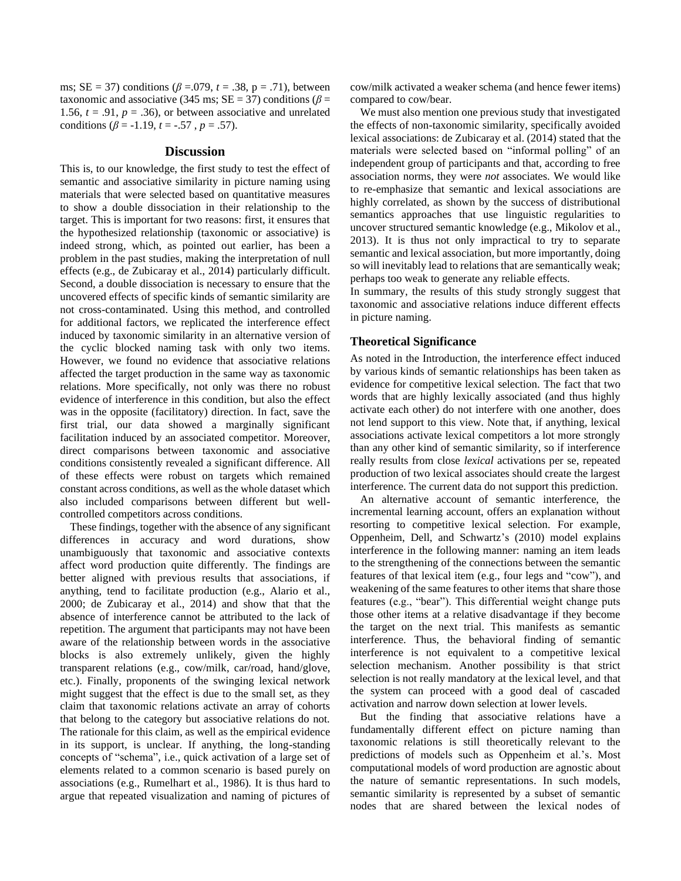ms;  $SE = 37$ ) conditions ( $\beta = .079$ ,  $t = .38$ ,  $p = .71$ ), between taxonomic and associative (345 ms;  $SE = 37$ ) conditions ( $\beta$  = 1.56,  $t = .91$ ,  $p = .36$ ), or between associative and unrelated conditions ( $\beta$  = -1.19, *t* = -.57, *p* = .57).

#### **Discussion**

This is, to our knowledge, the first study to test the effect of semantic and associative similarity in picture naming using materials that were selected based on quantitative measures to show a double dissociation in their relationship to the target. This is important for two reasons: first, it ensures that the hypothesized relationship (taxonomic or associative) is indeed strong, which, as pointed out earlier, has been a problem in the past studies, making the interpretation of null effects (e.g., de Zubicaray et al., 2014) particularly difficult. Second, a double dissociation is necessary to ensure that the uncovered effects of specific kinds of semantic similarity are not cross-contaminated. Using this method, and controlled for additional factors, we replicated the interference effect induced by taxonomic similarity in an alternative version of the cyclic blocked naming task with only two items. However, we found no evidence that associative relations affected the target production in the same way as taxonomic relations. More specifically, not only was there no robust evidence of interference in this condition, but also the effect was in the opposite (facilitatory) direction. In fact, save the first trial, our data showed a marginally significant facilitation induced by an associated competitor. Moreover, direct comparisons between taxonomic and associative conditions consistently revealed a significant difference. All of these effects were robust on targets which remained constant across conditions, as well as the whole dataset which also included comparisons between different but wellcontrolled competitors across conditions.

These findings, together with the absence of any significant differences in accuracy and word durations, show unambiguously that taxonomic and associative contexts affect word production quite differently. The findings are better aligned with previous results that associations, if anything, tend to facilitate production (e.g., Alario et al., 2000; de Zubicaray et al., 2014) and show that that the absence of interference cannot be attributed to the lack of repetition. The argument that participants may not have been aware of the relationship between words in the associative blocks is also extremely unlikely, given the highly transparent relations (e.g., cow/milk, car/road, hand/glove, etc.). Finally, proponents of the swinging lexical network might suggest that the effect is due to the small set, as they claim that taxonomic relations activate an array of cohorts that belong to the category but associative relations do not. The rationale for this claim, as well as the empirical evidence in its support, is unclear. If anything, the long-standing concepts of "schema", i.e., quick activation of a large set of elements related to a common scenario is based purely on associations (e.g., Rumelhart et al., 1986). It is thus hard to argue that repeated visualization and naming of pictures of cow/milk activated a weaker schema (and hence fewer items) compared to cow/bear.

We must also mention one previous study that investigated the effects of non-taxonomic similarity, specifically avoided lexical associations: de Zubicaray et al. (2014) stated that the materials were selected based on "informal polling" of an independent group of participants and that, according to free association norms, they were *not* associates. We would like to re-emphasize that semantic and lexical associations are highly correlated, as shown by the success of distributional semantics approaches that use linguistic regularities to uncover structured semantic knowledge (e.g., Mikolov et al., 2013). It is thus not only impractical to try to separate semantic and lexical association, but more importantly, doing so will inevitably lead to relations that are semantically weak; perhaps too weak to generate any reliable effects.

In summary, the results of this study strongly suggest that taxonomic and associative relations induce different effects in picture naming.

# **Theoretical Significance**

As noted in the Introduction, the interference effect induced by various kinds of semantic relationships has been taken as evidence for competitive lexical selection. The fact that two words that are highly lexically associated (and thus highly activate each other) do not interfere with one another, does not lend support to this view. Note that, if anything, lexical associations activate lexical competitors a lot more strongly than any other kind of semantic similarity, so if interference really results from close *lexical* activations per se, repeated production of two lexical associates should create the largest interference. The current data do not support this prediction.

An alternative account of semantic interference, the incremental learning account, offers an explanation without resorting to competitive lexical selection. For example, Oppenheim, Dell, and Schwartz's (2010) model explains interference in the following manner: naming an item leads to the strengthening of the connections between the semantic features of that lexical item (e.g., four legs and "cow"), and weakening of the same features to other items that share those features (e.g., "bear"). This differential weight change puts those other items at a relative disadvantage if they become the target on the next trial. This manifests as semantic interference. Thus, the behavioral finding of semantic interference is not equivalent to a competitive lexical selection mechanism. Another possibility is that strict selection is not really mandatory at the lexical level, and that the system can proceed with a good deal of cascaded activation and narrow down selection at lower levels.

But the finding that associative relations have a fundamentally different effect on picture naming than taxonomic relations is still theoretically relevant to the predictions of models such as Oppenheim et al.'s. Most computational models of word production are agnostic about the nature of semantic representations. In such models, semantic similarity is represented by a subset of semantic nodes that are shared between the lexical nodes of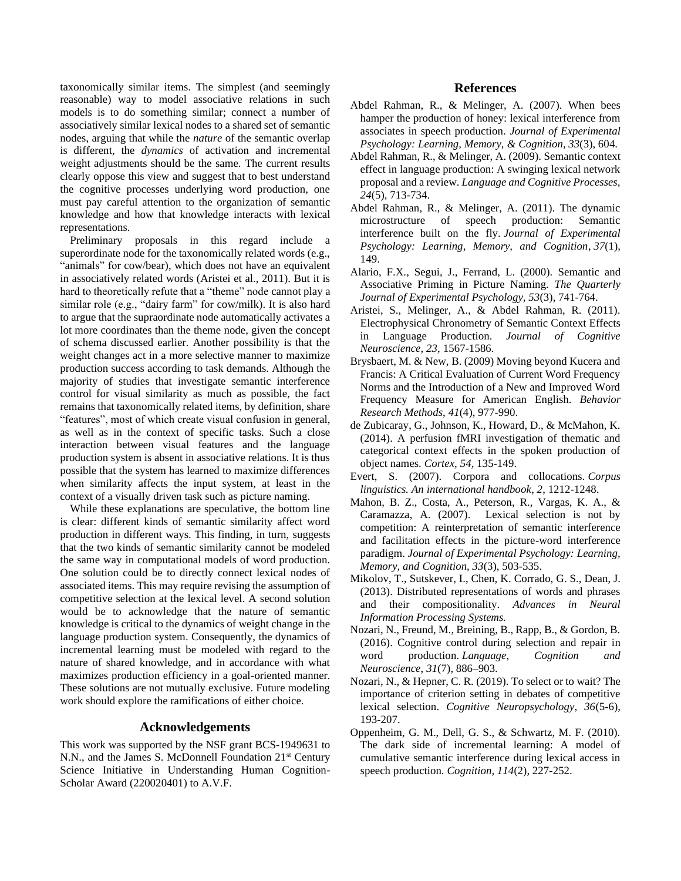taxonomically similar items. The simplest (and seemingly reasonable) way to model associative relations in such models is to do something similar; connect a number of associatively similar lexical nodes to a shared set of semantic nodes, arguing that while the *nature* of the semantic overlap is different, the *dynamics* of activation and incremental weight adjustments should be the same. The current results clearly oppose this view and suggest that to best understand the cognitive processes underlying word production, one must pay careful attention to the organization of semantic knowledge and how that knowledge interacts with lexical representations.

Preliminary proposals in this regard include a superordinate node for the taxonomically related words (e.g., "animals" for cow/bear), which does not have an equivalent in associatively related words (Aristei et al., 2011). But it is hard to theoretically refute that a "theme" node cannot play a similar role (e.g., "dairy farm" for cow/milk). It is also hard to argue that the supraordinate node automatically activates a lot more coordinates than the theme node, given the concept of schema discussed earlier. Another possibility is that the weight changes act in a more selective manner to maximize production success according to task demands. Although the majority of studies that investigate semantic interference control for visual similarity as much as possible, the fact remains that taxonomically related items, by definition, share "features", most of which create visual confusion in general, as well as in the context of specific tasks. Such a close interaction between visual features and the language production system is absent in associative relations. It is thus possible that the system has learned to maximize differences when similarity affects the input system, at least in the context of a visually driven task such as picture naming.

While these explanations are speculative, the bottom line is clear: different kinds of semantic similarity affect word production in different ways. This finding, in turn, suggests that the two kinds of semantic similarity cannot be modeled the same way in computational models of word production. One solution could be to directly connect lexical nodes of associated items. This may require revising the assumption of competitive selection at the lexical level. A second solution would be to acknowledge that the nature of semantic knowledge is critical to the dynamics of weight change in the language production system. Consequently, the dynamics of incremental learning must be modeled with regard to the nature of shared knowledge, and in accordance with what maximizes production efficiency in a goal-oriented manner. These solutions are not mutually exclusive. Future modeling work should explore the ramifications of either choice.

# **Acknowledgements**

This work was supported by the NSF grant BCS-1949631 to N.N., and the James S. McDonnell Foundation 21<sup>st</sup> Century Science Initiative in Understanding Human Cognition-Scholar Award (220020401) to A.V.F.

# **References**

- Abdel Rahman, R., & Melinger, A. (2007). When bees hamper the production of honey: lexical interference from associates in speech production. *Journal of Experimental Psychology: Learning, Memory, & Cognition, 33*(3), 604.
- Abdel Rahman, R., & Melinger, A. (2009). Semantic context effect in language production: A swinging lexical network proposal and a review. *Language and Cognitive Processes, 24*(5), 713-734.
- Abdel Rahman, R., & Melinger, A. (2011). The dynamic microstructure of speech production: Semantic interference built on the fly. *Journal of Experimental Psychology: Learning, Memory, and Cognition*, *37*(1), 149.
- Alario, F.X., Segui, J., Ferrand, L. (2000). Semantic and Associative Priming in Picture Naming. *The Quarterly Journal of Experimental Psychology, 53*(3), 741-764.
- Aristei, S., Melinger, A., & Abdel Rahman, R. (2011). Electrophysical Chronometry of Semantic Context Effects in Language Production. *Journal of Cognitive Neuroscience, 23,* 1567-1586.
- Brysbaert, M. & New, B. (2009) Moving beyond Kucera and Francis: A Critical Evaluation of Current Word Frequency Norms and the Introduction of a New and Improved Word Frequency Measure for American English. *Behavior Research Methods*, *41*(4), 977-990.
- de Zubicaray, G., Johnson, K., Howard, D., & McMahon, K. (2014). A perfusion fMRI investigation of thematic and categorical context effects in the spoken production of object names. *Cortex, 54,* 135-149.
- Evert, S. (2007). Corpora and collocations. *Corpus linguistics. An international handbook*, *2*, 1212-1248.
- Mahon, B. Z., Costa, A., Peterson, R., Vargas, K. A., & Caramazza, A. (2007). Lexical selection is not by competition: A reinterpretation of semantic interference and facilitation effects in the picture-word interference paradigm. *Journal of Experimental Psychology: Learning, Memory, and Cognition, 33*(3), 503-535.
- Mikolov, T., Sutskever, I., Chen, K. Corrado, G. S., Dean, J. (2013). Distributed representations of words and phrases and their compositionality. *Advances in Neural Information Processing Systems.*
- Nozari, N., Freund, M., Breining, B., Rapp, B., & Gordon, B. (2016). Cognitive control during selection and repair in word production. *Language, Cognition and Neuroscience*, *31*(7), 886–903.
- Nozari, N., & Hepner, C. R. (2019). To select or to wait? The importance of criterion setting in debates of competitive lexical selection. *Cognitive Neuropsychology, 36*(5-6), 193-207.
- Oppenheim, G. M., Dell, G. S., & Schwartz, M. F. (2010). The dark side of incremental learning: A model of cumulative semantic interference during lexical access in speech production. *Cognition, 114*(2), 227-252.